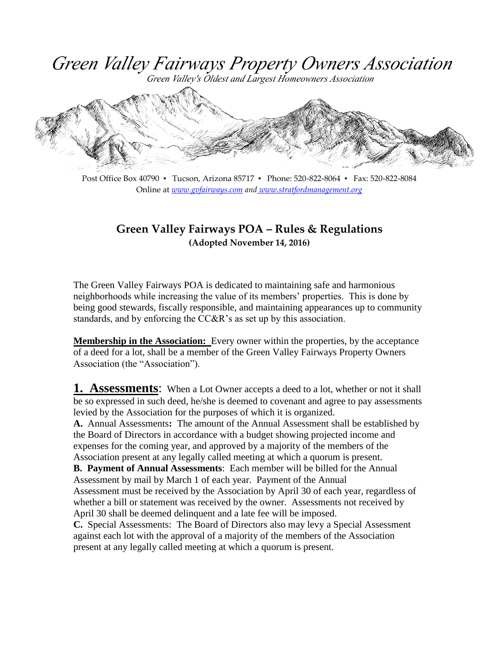Green Valley Fairways Property Owners Association

Green Valley's Oldest and Largest Homeowners Association



Post Office Box 40790 ▪ Tucson, Arizona 85717 ▪ Phone: 520-822-8064 ▪ Fax: 520-822-8084 Online at *[www.gvfairways.com](http://www.gvfairways.com/) and [www.stratfordmanagement.org](http://www.stratfordmanagement.org/)*

#### **Green Valley Fairways POA – Rules & Regulations (Adopted November 14, 2016)**

The Green Valley Fairways POA is dedicated to maintaining safe and harmonious neighborhoods while increasing the value of its members' properties. This is done by being good stewards, fiscally responsible, and maintaining appearances up to community standards, and by enforcing the CC&R's as set up by this association.

**Membership in the Association:** Every owner within the properties, by the acceptance of a deed for a lot, shall be a member of the Green Valley Fairways Property Owners Association (the "Association").

**1. Assessments:** When a Lot Owner accepts a deed to a lot, whether or not it shall be so expressed in such deed, he/she is deemed to covenant and agree to pay assessments levied by the Association for the purposes of which it is organized.

**A.** Annual Assessments**:** The amount of the Annual Assessment shall be established by the Board of Directors in accordance with a budget showing projected income and expenses for the coming year, and approved by a majority of the members of the Association present at any legally called meeting at which a quorum is present.

**B. Payment of Annual Assessments**: Each member will be billed for the Annual Assessment by mail by March 1 of each year. Payment of the Annual Assessment must be received by the Association by April 30 of each year, regardless of whether a bill or statement was received by the owner. Assessments not received by April 30 shall be deemed delinquent and a late fee will be imposed.

**C.** Special Assessments: The Board of Directors also may levy a Special Assessment against each lot with the approval of a majority of the members of the Association present at any legally called meeting at which a quorum is present.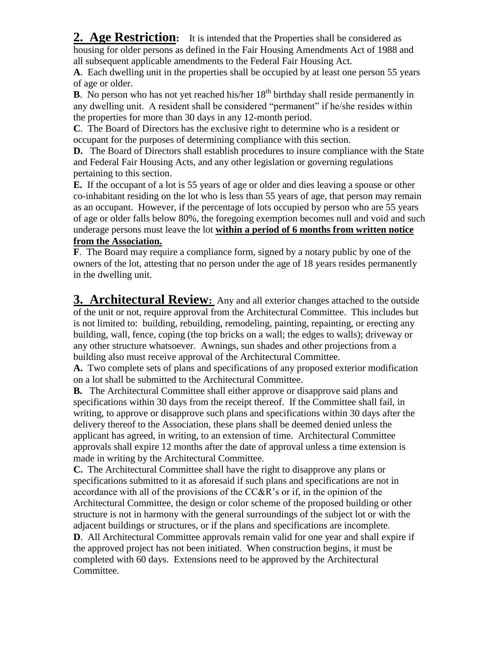**2. Age Restriction:** It is intended that the Properties shall be considered as housing for older persons as defined in the Fair Housing Amendments Act of 1988 and all subsequent applicable amendments to the Federal Fair Housing Act.

**A**. Each dwelling unit in the properties shall be occupied by at least one person 55 years of age or older.

**B**. No person who has not yet reached his/her  $18<sup>th</sup>$  birthday shall reside permanently in any dwelling unit. A resident shall be considered "permanent" if he/she resides within the properties for more than 30 days in any 12-month period.

**C**. The Board of Directors has the exclusive right to determine who is a resident or occupant for the purposes of determining compliance with this section.

**D.** The Board of Directors shall establish procedures to insure compliance with the State and Federal Fair Housing Acts, and any other legislation or governing regulations pertaining to this section.

**E.** If the occupant of a lot is 55 years of age or older and dies leaving a spouse or other co-inhabitant residing on the lot who is less than 55 years of age, that person may remain as an occupant. However, if the percentage of lots occupied by person who are 55 years of age or older falls below 80%, the foregoing exemption becomes null and void and such underage persons must leave the lot **within a period of 6 months from written notice from the Association.**

#### **F**. The Board may require a compliance form, signed by a notary public by one of the owners of the lot, attesting that no person under the age of 18 years resides permanently in the dwelling unit.

**3. Architectural Review:** Any and all exterior changes attached to the outside of the unit or not, require approval from the Architectural Committee. This includes but is not limited to: building, rebuilding, remodeling, painting, repainting, or erecting any building, wall, fence, coping (the top bricks on a wall; the edges to walls); driveway or any other structure whatsoever. Awnings, sun shades and other projections from a building also must receive approval of the Architectural Committee.

**A.** Two complete sets of plans and specifications of any proposed exterior modification on a lot shall be submitted to the Architectural Committee.

**B.** The Architectural Committee shall either approve or disapprove said plans and specifications within 30 days from the receipt thereof. If the Committee shall fail, in writing, to approve or disapprove such plans and specifications within 30 days after the delivery thereof to the Association, these plans shall be deemed denied unless the applicant has agreed, in writing, to an extension of time. Architectural Committee approvals shall expire 12 months after the date of approval unless a time extension is made in writing by the Architectural Committee.

**C.** The Architectural Committee shall have the right to disapprove any plans or specifications submitted to it as aforesaid if such plans and specifications are not in accordance with all of the provisions of the CC&R's or if, in the opinion of the Architectural Committee, the design or color scheme of the proposed building or other structure is not in harmony with the general surroundings of the subject lot or with the adjacent buildings or structures, or if the plans and specifications are incomplete.

**D**. All Architectural Committee approvals remain valid for one year and shall expire if the approved project has not been initiated. When construction begins, it must be completed with 60 days. Extensions need to be approved by the Architectural Committee.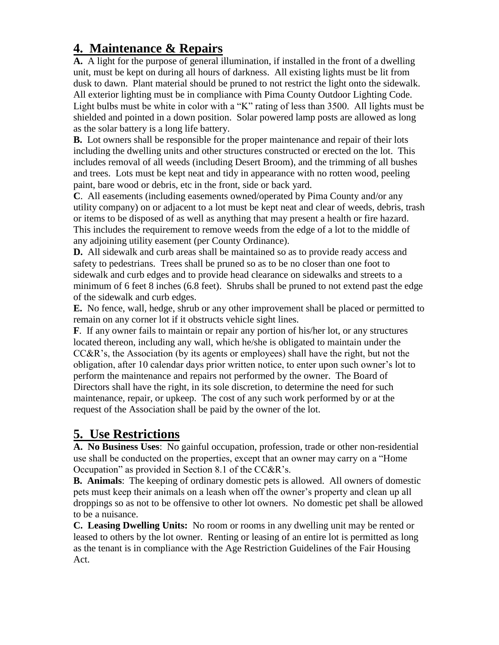## **4. Maintenance & Repairs**

**A.** A light for the purpose of general illumination, if installed in the front of a dwelling unit, must be kept on during all hours of darkness. All existing lights must be lit from dusk to dawn. Plant material should be pruned to not restrict the light onto the sidewalk. All exterior lighting must be in compliance with Pima County Outdoor Lighting Code. Light bulbs must be white in color with a "K" rating of less than 3500. All lights must be shielded and pointed in a down position. Solar powered lamp posts are allowed as long as the solar battery is a long life battery.

**B.** Lot owners shall be responsible for the proper maintenance and repair of their lots including the dwelling units and other structures constructed or erected on the lot. This includes removal of all weeds (including Desert Broom), and the trimming of all bushes and trees. Lots must be kept neat and tidy in appearance with no rotten wood, peeling paint, bare wood or debris, etc in the front, side or back yard.

**C**. All easements (including easements owned/operated by Pima County and/or any utility company) on or adjacent to a lot must be kept neat and clear of weeds, debris, trash or items to be disposed of as well as anything that may present a health or fire hazard. This includes the requirement to remove weeds from the edge of a lot to the middle of any adjoining utility easement (per County Ordinance).

**D.** All sidewalk and curb areas shall be maintained so as to provide ready access and safety to pedestrians. Trees shall be pruned so as to be no closer than one foot to sidewalk and curb edges and to provide head clearance on sidewalks and streets to a minimum of 6 feet 8 inches (6.8 feet). Shrubs shall be pruned to not extend past the edge of the sidewalk and curb edges.

**E.** No fence, wall, hedge, shrub or any other improvement shall be placed or permitted to remain on any corner lot if it obstructs vehicle sight lines.

**F**. If any owner fails to maintain or repair any portion of his/her lot, or any structures located thereon, including any wall, which he/she is obligated to maintain under the  $CC&R$ 's, the Association (by its agents or employees) shall have the right, but not the obligation, after 10 calendar days prior written notice, to enter upon such owner's lot to perform the maintenance and repairs not performed by the owner. The Board of Directors shall have the right, in its sole discretion, to determine the need for such maintenance, repair, or upkeep. The cost of any such work performed by or at the request of the Association shall be paid by the owner of the lot.

# **5. Use Restrictions**

**A. No Business Uses**: No gainful occupation, profession, trade or other non-residential use shall be conducted on the properties, except that an owner may carry on a "Home Occupation" as provided in Section 8.1 of the CC&R's.

**B. Animals**: The keeping of ordinary domestic pets is allowed. All owners of domestic pets must keep their animals on a leash when off the owner's property and clean up all droppings so as not to be offensive to other lot owners. No domestic pet shall be allowed to be a nuisance.

**C. Leasing Dwelling Units:** No room or rooms in any dwelling unit may be rented or leased to others by the lot owner. Renting or leasing of an entire lot is permitted as long as the tenant is in compliance with the Age Restriction Guidelines of the Fair Housing Act.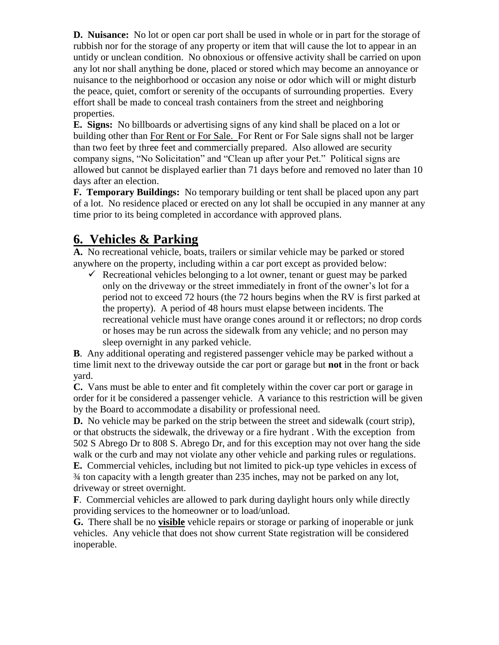**D. Nuisance:** No lot or open car port shall be used in whole or in part for the storage of rubbish nor for the storage of any property or item that will cause the lot to appear in an untidy or unclean condition. No obnoxious or offensive activity shall be carried on upon any lot nor shall anything be done, placed or stored which may become an annoyance or nuisance to the neighborhood or occasion any noise or odor which will or might disturb the peace, quiet, comfort or serenity of the occupants of surrounding properties. Every effort shall be made to conceal trash containers from the street and neighboring properties.

**E. Signs:** No billboards or advertising signs of any kind shall be placed on a lot or building other than For Rent or For Sale. For Rent or For Sale signs shall not be larger than two feet by three feet and commercially prepared. Also allowed are security company signs, "No Solicitation" and "Clean up after your Pet." Political signs are allowed but cannot be displayed earlier than 71 days before and removed no later than 10 days after an election.

**F. Temporary Buildings:** No temporary building or tent shall be placed upon any part of a lot. No residence placed or erected on any lot shall be occupied in any manner at any time prior to its being completed in accordance with approved plans.

## **6. Vehicles & Parking**

**A.** No recreational vehicle, boats, trailers or similar vehicle may be parked or stored anywhere on the property, including within a car port except as provided below:

 $\checkmark$  Recreational vehicles belonging to a lot owner, tenant or guest may be parked only on the driveway or the street immediately in front of the owner's lot for a period not to exceed 72 hours (the 72 hours begins when the RV is first parked at the property). A period of 48 hours must elapse between incidents. The recreational vehicle must have orange cones around it or reflectors; no drop cords or hoses may be run across the sidewalk from any vehicle; and no person may sleep overnight in any parked vehicle.

**B**. Any additional operating and registered passenger vehicle may be parked without a time limit next to the driveway outside the car port or garage but **not** in the front or back yard.

**C.** Vans must be able to enter and fit completely within the cover car port or garage in order for it be considered a passenger vehicle. A variance to this restriction will be given by the Board to accommodate a disability or professional need.

**D.** No vehicle may be parked on the strip between the street and sidewalk (court strip), or that obstructs the sidewalk, the driveway or a fire hydrant . With the exception from 502 S Abrego Dr to 808 S. Abrego Dr, and for this exception may not over hang the side walk or the curb and may not violate any other vehicle and parking rules or regulations. **E.** Commercial vehicles, including but not limited to pick-up type vehicles in excess of ¾ ton capacity with a length greater than 235 inches, may not be parked on any lot, driveway or street overnight.

**F**. Commercial vehicles are allowed to park during daylight hours only while directly providing services to the homeowner or to load/unload.

**G.** There shall be no **visible** vehicle repairs or storage or parking of inoperable or junk vehicles. Any vehicle that does not show current State registration will be considered inoperable.